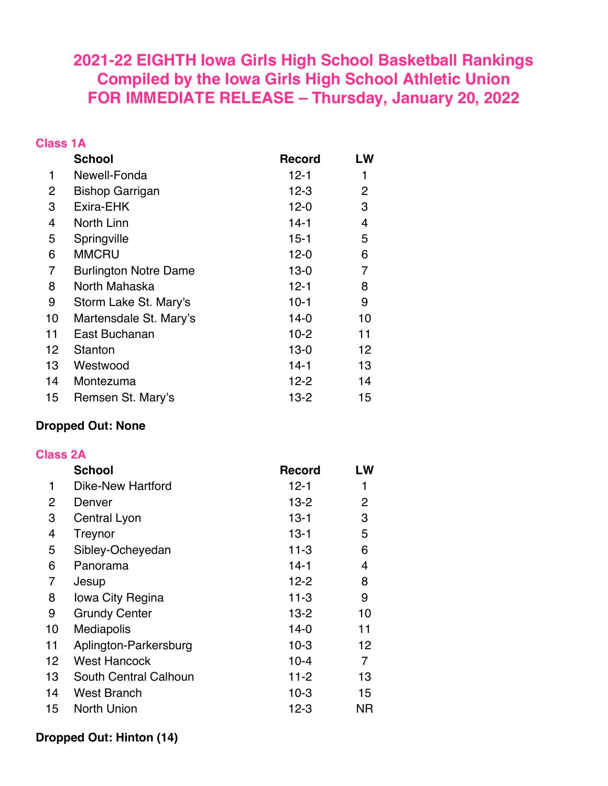# **2021-22 EIGHTH Iowa Girls High School Basketball Rankings Compiled by the Iowa Girls High School Athletic Union FOR IMMEDIATE RELEASE – Thursday, January 20, 2022**

#### **Class 1A**

|    | <b>School</b>                | <b>Record</b> | LW |
|----|------------------------------|---------------|----|
| 1  | Newell-Fonda                 | 12-1          | 1  |
| 2  | <b>Bishop Garrigan</b>       | $12 - 3$      | 2  |
| 3  | Exira-EHK                    | $12 - 0$      | 3  |
| 4  | North Linn                   | $14-1$        | 4  |
| 5  | Springville                  | 15-1          | 5  |
| 6  | <b>MMCRU</b>                 | $12 - 0$      | 6  |
| 7  | <b>Burlington Notre Dame</b> | $13-0$        | 7  |
| 8  | North Mahaska                | $12 - 1$      | 8  |
| 9  | Storm Lake St. Mary's        | $10-1$        | 9  |
| 10 | Martensdale St. Mary's       | $14-0$        | 10 |
| 11 | East Buchanan                | $10-2$        | 11 |
| 12 | Stanton                      | $13-0$        | 12 |
| 13 | Westwood                     | $14-1$        | 13 |
| 14 | Montezuma                    | $12 - 2$      | 14 |
| 15 | Remsen St. Mary's            | $13 - 2$      | 15 |

### **Dropped Out: None**

#### **Class 2A**

|    | <b>School</b>         | <b>Record</b> | LW           |
|----|-----------------------|---------------|--------------|
| 1  | Dike-New Hartford     | 12-1          | 1            |
| 2  | Denver                | $13-2$        | $\mathbf{2}$ |
| 3  | Central Lyon          | $13 - 1$      | 3            |
| 4  | Treynor               | $13 - 1$      | 5            |
| 5  | Sibley-Ocheyedan      | $11-3$        | 6            |
| 6  | Panorama              | $14-1$        | 4            |
| 7  | Jesup                 | $12 - 2$      | 8            |
| 8  | lowa City Regina      | $11-3$        | 9            |
| 9  | <b>Grundy Center</b>  | $13 - 2$      | 10           |
| 10 | Mediapolis            | $14-0$        | 11           |
| 11 | Aplington-Parkersburg | $10-3$        | 12           |
| 12 | <b>West Hancock</b>   | $10 - 4$      | 7            |
| 13 | South Central Calhoun | $11-2$        | 13           |
| 14 | <b>West Branch</b>    | $10-3$        | 15           |
| 15 | <b>North Union</b>    | $12 - 3$      | ΝR           |

### **Dropped Out: Hinton (14)**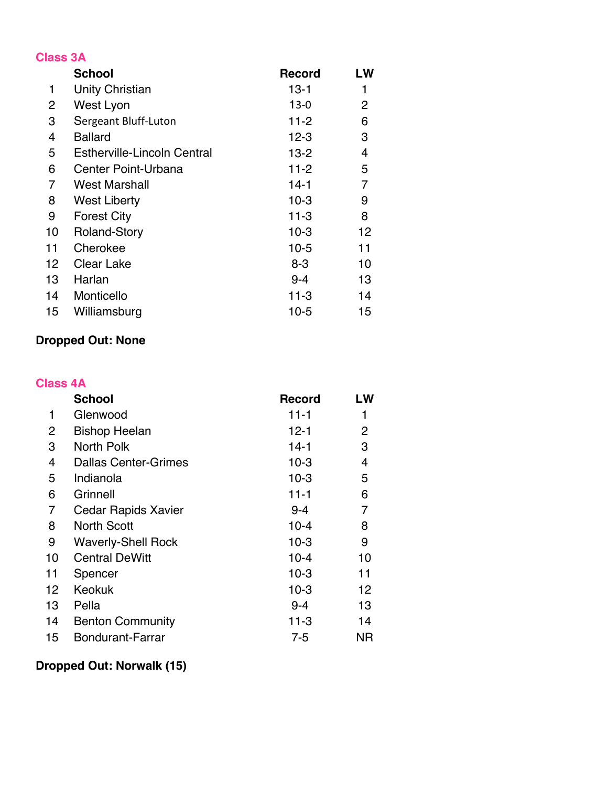| <b>Class 3A</b> |                                    |               |    |
|-----------------|------------------------------------|---------------|----|
|                 | <b>School</b>                      | <b>Record</b> | LW |
| 1               | <b>Unity Christian</b>             | $13-1$        | 1  |
| 2               | West Lyon                          | $13-0$        | 2  |
| 3               | Sergeant Bluff-Luton               | $11 - 2$      | 6  |
| 4               | <b>Ballard</b>                     | $12 - 3$      | 3  |
| 5               | <b>Estherville-Lincoln Central</b> | $13-2$        | 4  |
| 6               | Center Point-Urbana                | $11 - 2$      | 5  |
| 7               | <b>West Marshall</b>               | $14-1$        | 7  |
| 8               | West Liberty                       | $10-3$        | 9  |
| 9               | <b>Forest City</b>                 | 11-3          | 8  |
| 10              | <b>Roland-Story</b>                | $10-3$        | 12 |
| 11              | Cherokee                           | $10-5$        | 11 |
| 12              | Clear Lake                         | $8 - 3$       | 10 |
| 13              | Harlan                             | $9 - 4$       | 13 |
| 14              | Monticello                         | $11 - 3$      | 14 |
| 15              | Williamsburg                       | $10-5$        | 15 |

# **Dropped Out: None**

#### **Class 4A**

|    | <b>School</b>               | <b>Record</b> | LW |
|----|-----------------------------|---------------|----|
| 1  | Glenwood                    | $11 - 1$      |    |
| 2  | <b>Bishop Heelan</b>        | $12 - 1$      | 2  |
| 3  | North Polk                  | $14-1$        | 3  |
| 4  | <b>Dallas Center-Grimes</b> | $10-3$        | 4  |
| 5  | Indianola                   | $10-3$        | 5  |
| 6  | Grinnell                    | $11 - 1$      | 6  |
| 7  | <b>Cedar Rapids Xavier</b>  | $9 - 4$       | 7  |
| 8  | <b>North Scott</b>          | $10 - 4$      | 8  |
| 9  | <b>Waverly-Shell Rock</b>   | $10-3$        | 9  |
| 10 | <b>Central DeWitt</b>       | $10 - 4$      | 10 |
| 11 | Spencer                     | $10-3$        | 11 |
| 12 | Keokuk                      | $10-3$        | 12 |
| 13 | Pella                       | $9 - 4$       | 13 |
| 14 | <b>Benton Community</b>     | $11-3$        | 14 |
| 15 | <b>Bondurant-Farrar</b>     | 7-5           | ΝR |

# **Dropped Out: Norwalk (15)**